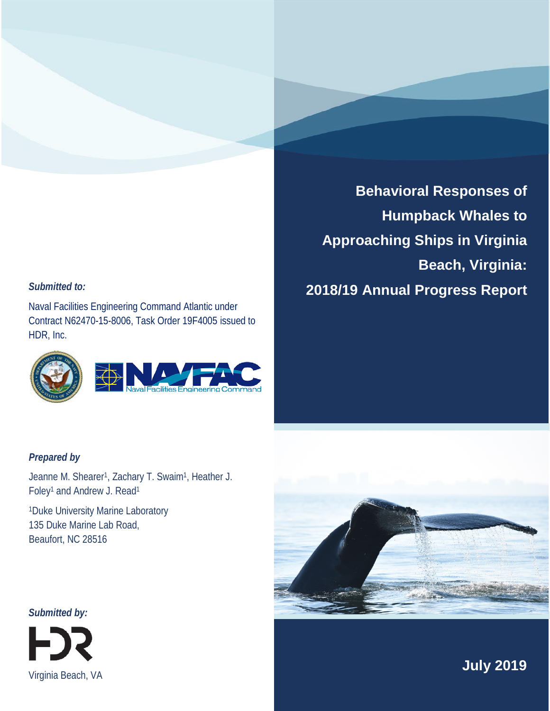### *Submitted to:*

Naval Facilities Engineering Command Atlantic under Contract N62470-15-8006, Task Order 19F4005 issued to HDR, Inc.



## *Prepared by*

Jeanne M. Shearer<sup>1</sup>, Zachary T. Swaim<sup>1</sup>, Heather J. Foley<sup>1</sup> and Andrew J. Read<sup>1</sup>

1Duke University Marine Laboratory 135 Duke Marine Lab Road, Beaufort, NC 28516



*Submitted by:* 



**Behavioral Responses of Humpback Whales to Approaching Ships in Virginia Beach, Virginia: 2018/19 Annual Progress Report**

**July 2019**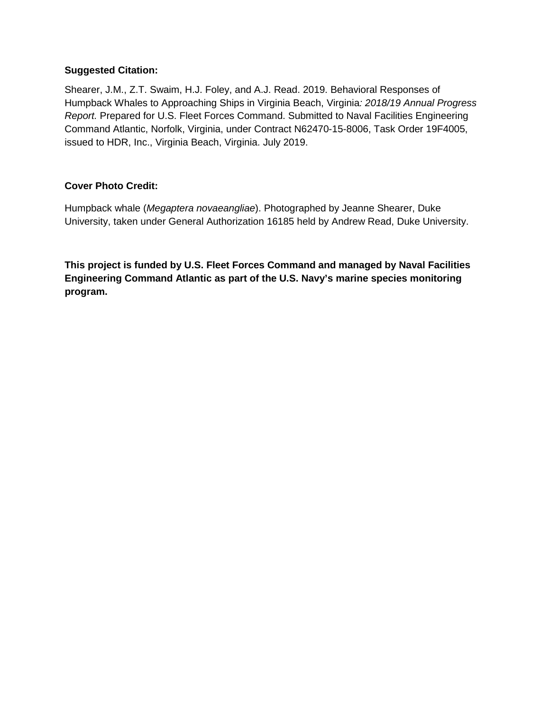#### **Suggested Citation:**

Shearer, J.M., Z.T. Swaim, H.J. Foley, and A.J. Read. 2019. Behavioral Responses of Humpback Whales to Approaching Ships in Virginia Beach, Virginia*: 2018/19 Annual Progress Report.* Prepared for U.S. Fleet Forces Command. Submitted to Naval Facilities Engineering Command Atlantic, Norfolk, Virginia, under Contract N62470-15-8006, Task Order 19F4005, issued to HDR, Inc., Virginia Beach, Virginia. July 2019.

### **Cover Photo Credit:**

Humpback whale (*Megaptera novaeangliae*). Photographed by Jeanne Shearer, Duke University, taken under General Authorization 16185 held by Andrew Read, Duke University.

**This project is funded by U.S. Fleet Forces Command and managed by Naval Facilities Engineering Command Atlantic as part of the U.S. Navy's marine species monitoring program.**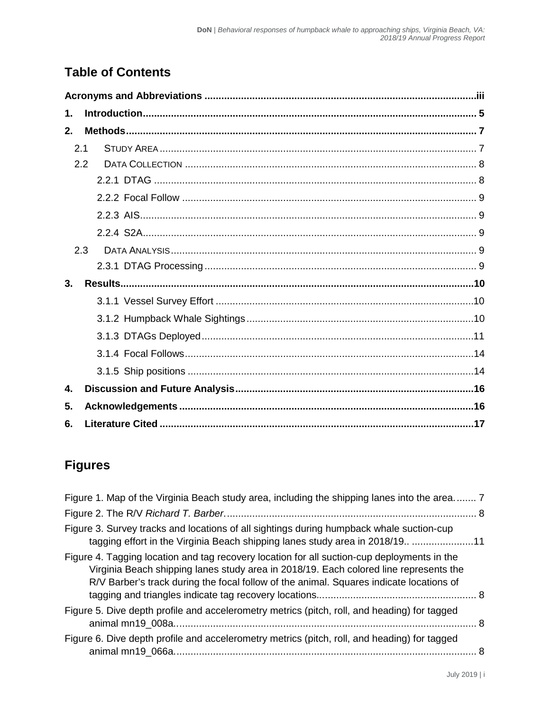## **Table of Contents**

| $\mathbf 1$ . |     |  |
|---------------|-----|--|
| 2.            |     |  |
|               | 2.1 |  |
|               | 2.2 |  |
|               |     |  |
|               |     |  |
|               |     |  |
|               |     |  |
|               | 2.3 |  |
|               |     |  |
| 3.            |     |  |
|               |     |  |
|               |     |  |
|               |     |  |
|               |     |  |
|               |     |  |
| 4.            |     |  |
| 5.            |     |  |
| 6.            |     |  |

## **Figures**

| Figure 1. Map of the Virginia Beach study area, including the shipping lanes into the area 7                                                                                                                                                                                    |  |
|---------------------------------------------------------------------------------------------------------------------------------------------------------------------------------------------------------------------------------------------------------------------------------|--|
| Figure 3. Survey tracks and locations of all sightings during humpback whale suction-cup<br>tagging effort in the Virginia Beach shipping lanes study area in 2018/19 11                                                                                                        |  |
| Figure 4. Tagging location and tag recovery location for all suction-cup deployments in the<br>Virginia Beach shipping lanes study area in 2018/19. Each colored line represents the<br>R/V Barber's track during the focal follow of the animal. Squares indicate locations of |  |
| Figure 5. Dive depth profile and accelerometry metrics (pitch, roll, and heading) for tagged                                                                                                                                                                                    |  |
| Figure 6. Dive depth profile and accelerometry metrics (pitch, roll, and heading) for tagged                                                                                                                                                                                    |  |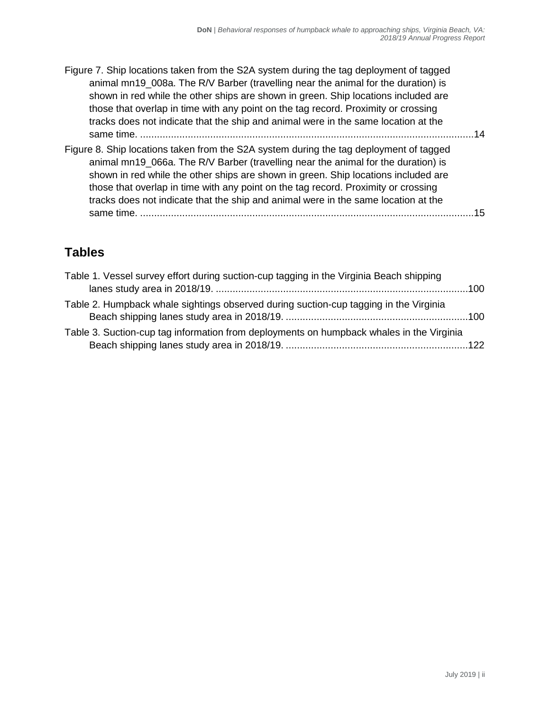| Figure 7. Ship locations taken from the S2A system during the tag deployment of tagged<br>animal mn19_008a. The R/V Barber (travelling near the animal for the duration) is<br>shown in red while the other ships are shown in green. Ship locations included are<br>those that overlap in time with any point on the tag record. Proximity or crossing<br>tracks does not indicate that the ship and animal were in the same location at the | -14 |
|-----------------------------------------------------------------------------------------------------------------------------------------------------------------------------------------------------------------------------------------------------------------------------------------------------------------------------------------------------------------------------------------------------------------------------------------------|-----|
| Figure 8. Ship locations taken from the S2A system during the tag deployment of tagged<br>animal mn19_066a. The R/V Barber (travelling near the animal for the duration) is<br>shown in red while the other ships are shown in green. Ship locations included are<br>those that overlap in time with any point on the tag record. Proximity or crossing<br>tracks does not indicate that the ship and animal were in the same location at the | 15  |

## **Tables**

| Table 1. Vessel survey effort during suction-cup tagging in the Virginia Beach shipping  |  |
|------------------------------------------------------------------------------------------|--|
|                                                                                          |  |
| Table 2. Humpback whale sightings observed during suction-cup tagging in the Virginia    |  |
|                                                                                          |  |
| Table 3. Suction-cup tag information from deployments on humpback whales in the Virginia |  |
|                                                                                          |  |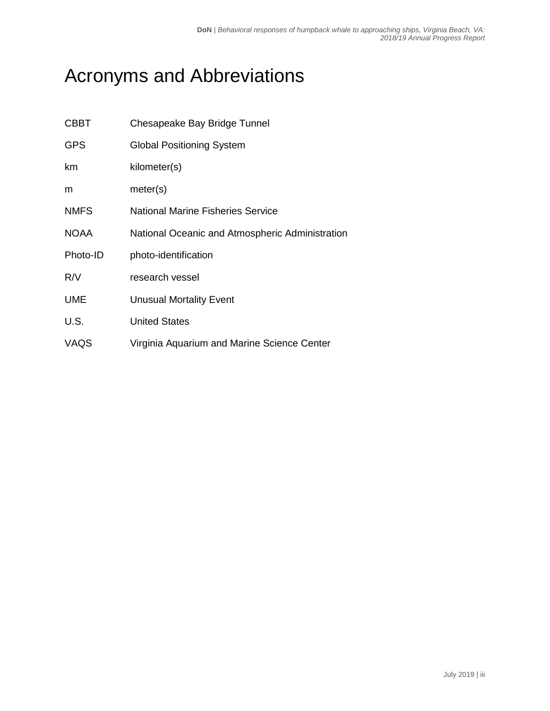# <span id="page-4-0"></span>Acronyms and Abbreviations

| <b>CBBT</b> | Chesapeake Bay Bridge Tunnel                    |
|-------------|-------------------------------------------------|
| <b>GPS</b>  | <b>Global Positioning System</b>                |
| km          | kilometer(s)                                    |
| m           | meter(s)                                        |
| <b>NMFS</b> | National Marine Fisheries Service               |
| <b>NOAA</b> | National Oceanic and Atmospheric Administration |
| Photo-ID    | photo-identification                            |
| R/V         | research vessel                                 |
| <b>UME</b>  | <b>Unusual Mortality Event</b>                  |
| U.S.        | <b>United States</b>                            |
| <b>VAQS</b> | Virginia Aquarium and Marine Science Center     |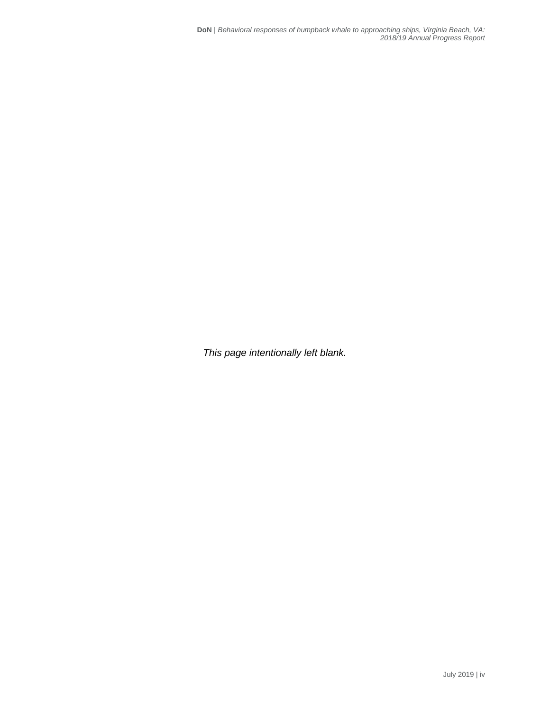*This page intentionally left blank.*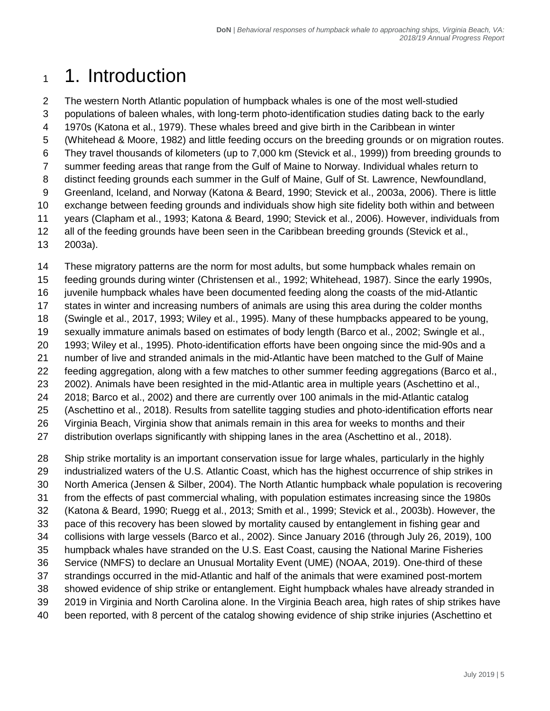## <span id="page-6-0"></span>1 1. Introduction

 The western North Atlantic population of humpback whales is one of the most well-studied populations of baleen whales, with long-term photo-identification studies dating back to the early 1970s (Katona et al., 1979). These whales breed and give birth in the Caribbean in winter (Whitehead & Moore, 1982) and little feeding occurs on the breeding grounds or on migration routes. They travel thousands of kilometers (up to 7,000 km (Stevick et al., 1999)) from breeding grounds to summer feeding areas that range from the Gulf of Maine to Norway. Individual whales return to distinct feeding grounds each summer in the Gulf of Maine, Gulf of St. Lawrence, Newfoundland, Greenland, Iceland, and Norway (Katona & Beard, 1990; Stevick et al., 2003a, 2006). There is little exchange between feeding grounds and individuals show high site fidelity both within and between years (Clapham et al., 1993; Katona & Beard, 1990; Stevick et al., 2006). However, individuals from 12 all of the feeding grounds have been seen in the Caribbean breeding grounds (Stevick et al., 2003a).

These migratory patterns are the norm for most adults, but some humpback whales remain on

feeding grounds during winter (Christensen et al., 1992; Whitehead, 1987). Since the early 1990s,

juvenile humpback whales have been documented feeding along the coasts of the mid-Atlantic

states in winter and increasing numbers of animals are using this area during the colder months

(Swingle et al., 2017, 1993; Wiley et al., 1995). Many of these humpbacks appeared to be young,

 sexually immature animals based on estimates of body length (Barco et al., 2002; Swingle et al., 1993; Wiley et al., 1995). Photo-identification efforts have been ongoing since the mid-90s and a

number of live and stranded animals in the mid-Atlantic have been matched to the Gulf of Maine

feeding aggregation, along with a few matches to other summer feeding aggregations (Barco et al.,

2002). Animals have been resighted in the mid-Atlantic area in multiple years (Aschettino et al.,

2018; Barco et al., 2002) and there are currently over 100 animals in the mid-Atlantic catalog

(Aschettino et al., 2018). Results from satellite tagging studies and photo-identification efforts near

Virginia Beach, Virginia show that animals remain in this area for weeks to months and their

distribution overlaps significantly with shipping lanes in the area (Aschettino et al., 2018).

 Ship strike mortality is an important conservation issue for large whales, particularly in the highly industrialized waters of the U.S. Atlantic Coast, which has the highest occurrence of ship strikes in North America (Jensen & Silber, 2004). The North Atlantic humpback whale population is recovering from the effects of past commercial whaling, with population estimates increasing since the 1980s (Katona & Beard, 1990; Ruegg et al., 2013; Smith et al., 1999; Stevick et al., 2003b). However, the pace of this recovery has been slowed by mortality caused by entanglement in fishing gear and collisions with large vessels (Barco et al., 2002). Since January 2016 (through July 26, 2019), 100 humpback whales have stranded on the U.S. East Coast, causing the National Marine Fisheries Service (NMFS) to declare an Unusual Mortality Event (UME) (NOAA, 2019). One-third of these strandings occurred in the mid-Atlantic and half of the animals that were examined post-mortem showed evidence of ship strike or entanglement. Eight humpback whales have already stranded in 2019 in Virginia and North Carolina alone. In the Virginia Beach area, high rates of ship strikes have

been reported, with 8 percent of the catalog showing evidence of ship strike injuries (Aschettino et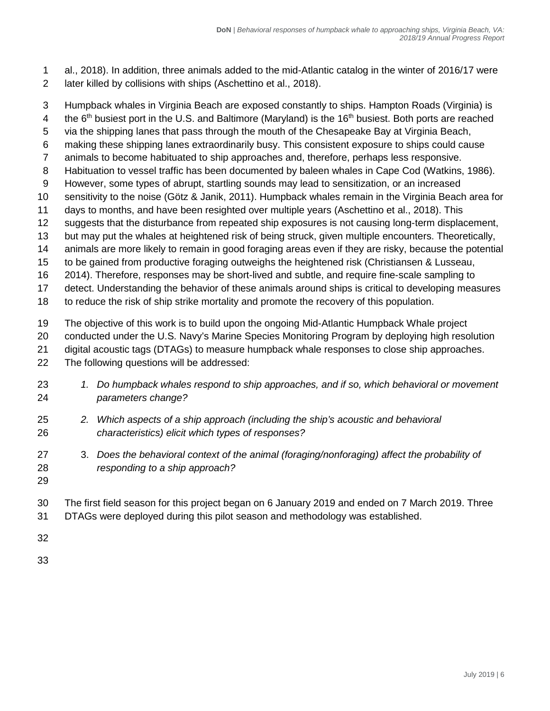al., 2018). In addition, three animals added to the mid-Atlantic catalog in the winter of 2016/17 were

- later killed by collisions with ships (Aschettino et al., 2018).
- Humpback whales in Virginia Beach are exposed constantly to ships. Hampton Roads (Virginia) is
- 4 the 6<sup>th</sup> busiest port in the U.S. and Baltimore (Maryland) is the 16<sup>th</sup> busiest. Both ports are reached
- via the shipping lanes that pass through the mouth of the Chesapeake Bay at Virginia Beach,
- making these shipping lanes extraordinarily busy. This consistent exposure to ships could cause
- animals to become habituated to ship approaches and, therefore, perhaps less responsive.
- Habituation to vessel traffic has been documented by baleen whales in Cape Cod (Watkins, 1986).
- However, some types of abrupt, startling sounds may lead to sensitization, or an increased
- sensitivity to the noise (Götz & Janik, 2011). Humpback whales remain in the Virginia Beach area for
- days to months, and have been resighted over multiple years (Aschettino et al., 2018). This
- suggests that the disturbance from repeated ship exposures is not causing long-term displacement,
- but may put the whales at heightened risk of being struck, given multiple encounters. Theoretically,
- animals are more likely to remain in good foraging areas even if they are risky, because the potential
- to be gained from productive foraging outweighs the heightened risk (Christiansen & Lusseau,
- 2014). Therefore, responses may be short-lived and subtle, and require fine-scale sampling to
- detect. Understanding the behavior of these animals around ships is critical to developing measures
- to reduce the risk of ship strike mortality and promote the recovery of this population.
- The objective of this work is to build upon the ongoing Mid-Atlantic Humpback Whale project
- conducted under the U.S. Navy's Marine Species Monitoring Program by deploying high resolution
- digital acoustic tags (DTAGs) to measure humpback whale responses to close ship approaches.
- The following questions will be addressed:
- *1. Do humpback whales respond to ship approaches, and if so, which behavioral or movement parameters change?*
- *2. Which aspects of a ship approach (including the ship's acoustic and behavioral characteristics) elicit which types of responses?*
- 3. *Does the behavioral context of the animal (foraging/nonforaging) affect the probability of responding to a ship approach?*
- 
- The first field season for this project began on 6 January 2019 and ended on 7 March 2019. Three
- DTAGs were deployed during this pilot season and methodology was established.
- 

July 2019 | 6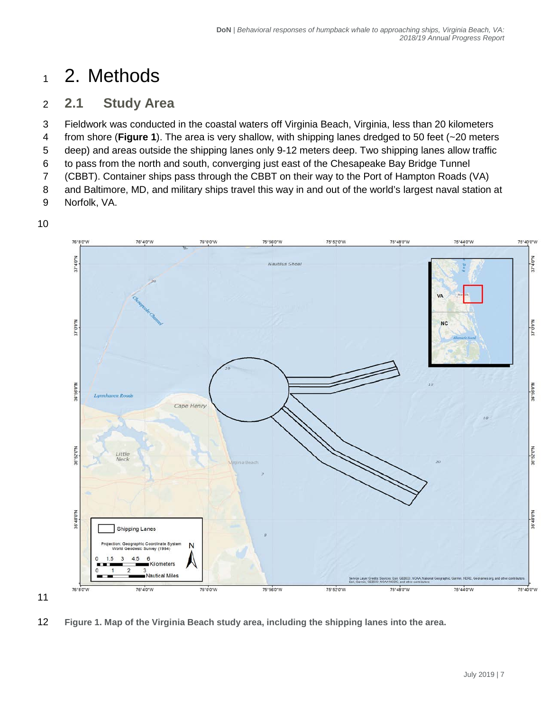# <span id="page-8-0"></span>2. Methods

## <span id="page-8-1"></span>**2.1 Study Area**

 Fieldwork was conducted in the coastal waters off Virginia Beach, Virginia, less than 20 kilometers from shore (**Figure 1**). The area is very shallow, with shipping lanes dredged to 50 feet (~20 meters deep) and areas outside the shipping lanes only 9-12 meters deep. Two shipping lanes allow traffic to pass from the north and south, converging just east of the Chesapeake Bay Bridge Tunnel (CBBT). Container ships pass through the CBBT on their way to the Port of Hampton Roads (VA) 8 and Baltimore, MD, and military ships travel this way in and out of the world's largest naval station at Norfolk, VA.





<span id="page-8-2"></span>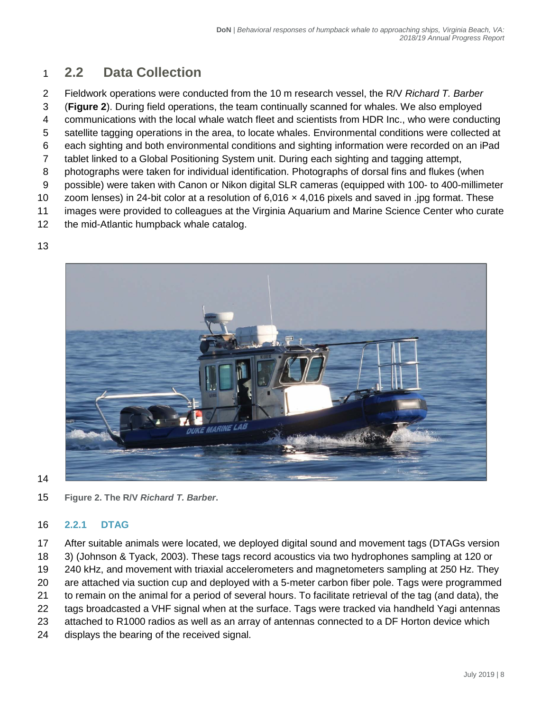## <span id="page-9-0"></span>**2.2 Data Collection**

- Fieldwork operations were conducted from the 10 m research vessel, the R/V *Richard T. Barber* (**Figure 2**). During field operations, the team continually scanned for whales. We also employed communications with the local whale watch fleet and scientists from HDR Inc., who were conducting satellite tagging operations in the area, to locate whales. Environmental conditions were collected at each sighting and both environmental conditions and sighting information were recorded on an iPad tablet linked to a Global Positioning System unit. During each sighting and tagging attempt, photographs were taken for individual identification. Photographs of dorsal fins and flukes (when possible) were taken with Canon or Nikon digital SLR cameras (equipped with 100- to 400-millimeter zoom lenses) in 24-bit color at a resolution of 6,016 × 4,016 pixels and saved in .jpg format. These images were provided to colleagues at the Virginia Aquarium and Marine Science Center who curate
- 12 the mid-Atlantic humpback whale catalog.
- 



<span id="page-9-2"></span>**Figure 2. The R/V** *Richard T. Barber***.**

### <span id="page-9-1"></span>**2.2.1 DTAG**

 After suitable animals were located, we deployed digital sound and movement tags (DTAGs version 3) (Johnson & Tyack, 2003). These tags record acoustics via two hydrophones sampling at 120 or 240 kHz, and movement with triaxial accelerometers and magnetometers sampling at 250 Hz. They are attached via suction cup and deployed with a 5-meter carbon fiber pole. Tags were programmed to remain on the animal for a period of several hours. To facilitate retrieval of the tag (and data), the tags broadcasted a VHF signal when at the surface. Tags were tracked via handheld Yagi antennas attached to R1000 radios as well as an array of antennas connected to a DF Horton device which displays the bearing of the received signal.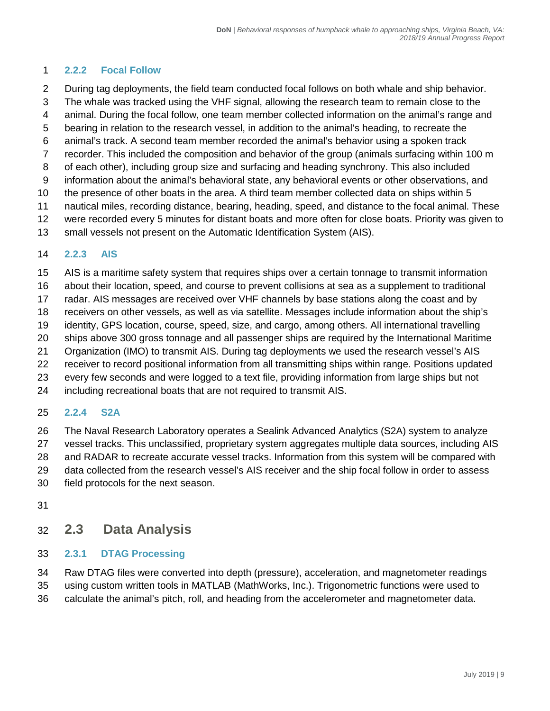### <span id="page-10-0"></span>**2.2.2 Focal Follow**

- During tag deployments, the field team conducted focal follows on both whale and ship behavior.
- The whale was tracked using the VHF signal, allowing the research team to remain close to the
- animal. During the focal follow, one team member collected information on the animal's range and
- bearing in relation to the research vessel, in addition to the animal's heading, to recreate the
- animal's track. A second team member recorded the animal's behavior using a spoken track
- recorder. This included the composition and behavior of the group (animals surfacing within 100 m
- of each other), including group size and surfacing and heading synchrony. This also included
- information about the animal's behavioral state, any behavioral events or other observations, and
- the presence of other boats in the area. A third team member collected data on ships within 5
- nautical miles, recording distance, bearing, heading, speed, and distance to the focal animal. These
- were recorded every 5 minutes for distant boats and more often for close boats. Priority was given to
- small vessels not present on the Automatic Identification System (AIS).

### <span id="page-10-1"></span>**2.2.3 AIS**

AIS is a maritime safety system that requires ships over a certain tonnage to transmit information

- about their location, speed, and course to prevent collisions at sea as a supplement to traditional
- radar. AIS messages are received over VHF channels by base stations along the coast and by
- receivers on other vessels, as well as via satellite. Messages include information about the ship's
- identity, GPS location, course, speed, size, and cargo, among others. All international travelling
- ships above 300 gross tonnage and all passenger ships are required by the International Maritime
- Organization (IMO) to transmit AIS. During tag deployments we used the research vessel's AIS
- receiver to record positional information from all transmitting ships within range. Positions updated
- every few seconds and were logged to a text file, providing information from large ships but not
- including recreational boats that are not required to transmit AIS.

## <span id="page-10-2"></span>**2.2.4 S2A**

 The Naval Research Laboratory operates a Sealink Advanced Analytics (S2A) system to analyze vessel tracks. This unclassified, proprietary system aggregates multiple data sources, including AIS

and RADAR to recreate accurate vessel tracks. Information from this system will be compared with

- data collected from the research vessel's AIS receiver and the ship focal follow in order to assess
- field protocols for the next season.
- 

## <span id="page-10-3"></span>**2.3 Data Analysis**

### <span id="page-10-4"></span>**2.3.1 DTAG Processing**

 Raw DTAG files were converted into depth (pressure), acceleration, and magnetometer readings using custom written tools in MATLAB (MathWorks, Inc.). Trigonometric functions were used to

calculate the animal's pitch, roll, and heading from the accelerometer and magnetometer data.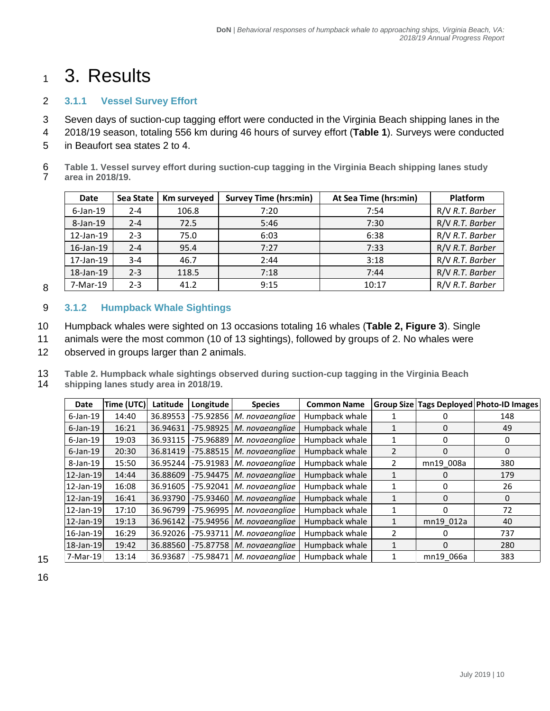## <span id="page-11-0"></span><sup>1</sup> 3. Results

### <span id="page-11-1"></span>2 **3.1.1 Vessel Survey Effort**

- 3 Seven days of suction-cup tagging effort were conducted in the Virginia Beach shipping lanes in the
- 4 2018/19 season, totaling 556 km during 46 hours of survey effort (**Table 1**). Surveys were conducted 5 in Beaufort sea states 2 to 4.

<span id="page-11-3"></span>6 **Table 1. Vessel survey effort during suction-cup tagging in the Virginia Beach shipping lanes study**  7 **area in 2018/19.** 

| Date        | Sea State | Km surveyed | <b>Survey Time (hrs:min)</b> | At Sea Time (hrs:min) | Platform        |
|-------------|-----------|-------------|------------------------------|-----------------------|-----------------|
| $6$ -Jan-19 | 2-4       | 106.8       | 7:20                         | 7:54                  | R/V R.T. Barber |
| 8-Jan-19    | $2 - 4$   | 72.5        | 5:46                         | 7:30                  | R/V R.T. Barber |
| 12-Jan-19   | $2 - 3$   | 75.0        | 6:03                         | 6:38                  | R/V R.T. Barber |
| 16-Jan-19   | $2 - 4$   | 95.4        | 7:27                         | 7:33                  | R/V R.T. Barber |
| 17-Jan-19   | $3 - 4$   | 46.7        | 2:44                         | 3:18                  | R/V R.T. Barber |
| 18-Jan-19   | $2 - 3$   | 118.5       | 7:18                         | 7:44                  | R/V R.T. Barber |
| 7-Mar-19    | $2 - 3$   | 41.2        | 9:15                         | 10:17                 | R/V R.T. Barber |

8

## <span id="page-11-2"></span>9 **3.1.2 Humpback Whale Sightings**

- 10 Humpback whales were sighted on 13 occasions totaling 16 whales (**Table 2, Figure 3**). Single
- 11 animals were the most common (10 of 13 sightings), followed by groups of 2. No whales were
- 12 observed in groups larger than 2 animals.
- <span id="page-11-4"></span>13 **Table 2. Humpback whale sightings observed during suction-cup tagging in the Virginia Beach**
- 14 **shipping lanes study area in 2018/19.**

| Date              | Time (UTC) | Latitude | Longitude | <b>Species</b>                | <b>Common Name</b> |                |           | <b>Group Size Tags Deployed Photo-ID Images</b> |
|-------------------|------------|----------|-----------|-------------------------------|--------------------|----------------|-----------|-------------------------------------------------|
| $6$ -Jan-19       | 14:40      | 36.89553 |           | $-75.92856$   M. novaeangliae | Humpback whale     |                |           | 148                                             |
| $6$ -Jan-19       | 16:21      | 36.94631 |           | $-75.98925$ M. novaeangliae   | Humpback whale     |                | 0         | 49                                              |
| $6$ -Jan-19       | 19:03      | 36.93115 |           | $-75.96889$   M. novaeangliae | Humpback whale     |                | 0         | 0                                               |
| $6$ -Jan-19       | 20:30      | 36.81419 |           | $-75.88515$ M. novaeangliae   | Humpback whale     | $\mathfrak{p}$ | 0         | $\Omega$                                        |
| 8-Jan-19          | 15:50      | 36.95244 |           | $-75.91983$ M. novaeangliae   | Humpback whale     | 2              | mn19 008a | 380                                             |
| $12$ -Jan-19      | 14:44      | 36.88609 |           | $-75.94475$ M. novaeangliae   | Humpback whale     |                | 0         | 179                                             |
| $12$ -Jan-19      | 16:08      | 36.91605 |           | $-75.92041$   M. novaeangliae | Humpback whale     |                | 0         | 26                                              |
| $ 12$ -Jan-19 $ $ | 16:41      | 36.93790 |           | $-75.93460$ M. novaeangliae   | Humpback whale     | 1              | $\Omega$  | $\Omega$                                        |
| $12$ -Jan-19      | 17:10      | 36.96799 |           | $-75.96995$ M. novaeangliae   | Humpback whale     |                | 0         | 72                                              |
| $12$ -Jan-19      | 19:13      | 36.96142 |           | $-75.94956$ M. novaeangliae   | Humpback whale     | $\mathbf{1}$   | mn19 012a | 40                                              |
| $16$ -Jan-19      | 16:29      | 36.92026 |           | $-75.93711$   M. novaeangliae | Humpback whale     | $\mathfrak{p}$ | 0         | 737                                             |
| $ 18$ -Jan-19 $ $ | 19:42      | 36.88560 |           | $-75.87758$ M. novaeangliae   | Humpback whale     |                | 0         | 280                                             |
| 7-Mar-19          | 13:14      | 36.93687 |           | $-75.98471$   M. novaeanaliae | Humpback whale     |                | mn19 066a | 383                                             |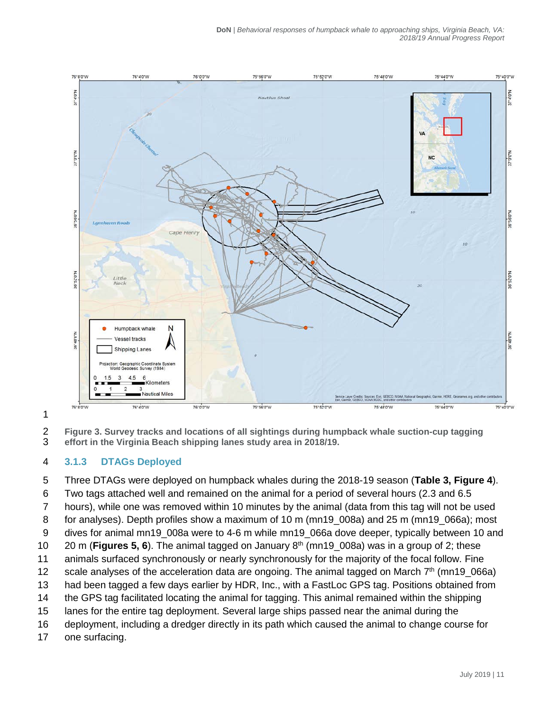

## 

 **Figure 3. Survey tracks and locations of all sightings during humpback whale suction-cup tagging effort in the Virginia Beach shipping lanes study area in 2018/19.** 

#### <span id="page-12-0"></span>**3.1.3 DTAGs Deployed**

 Three DTAGs were deployed on humpback whales during the 2018-19 season (**Table 3, Figure 4**). Two tags attached well and remained on the animal for a period of several hours (2.3 and 6.5 hours), while one was removed within 10 minutes by the animal (data from this tag will not be used for analyses). Depth profiles show a maximum of 10 m (mn19\_008a) and 25 m (mn19\_066a); most dives for animal mn19\_008a were to 4-6 m while mn19\_066a dove deeper, typically between 10 and 10 20 m (**Figures 5, 6**). The animal tagged on January 8<sup>th</sup> (mn19 008a) was in a group of 2; these animals surfaced synchronously or nearly synchronously for the majority of the focal follow. Fine 12 scale analyses of the acceleration data are ongoing. The animal tagged on March  $7<sup>th</sup>$  (mn19\_066a) had been tagged a few days earlier by HDR, Inc., with a FastLoc GPS tag. Positions obtained from the GPS tag facilitated locating the animal for tagging. This animal remained within the shipping lanes for the entire tag deployment. Several large ships passed near the animal during the deployment, including a dredger directly in its path which caused the animal to change course for one surfacing.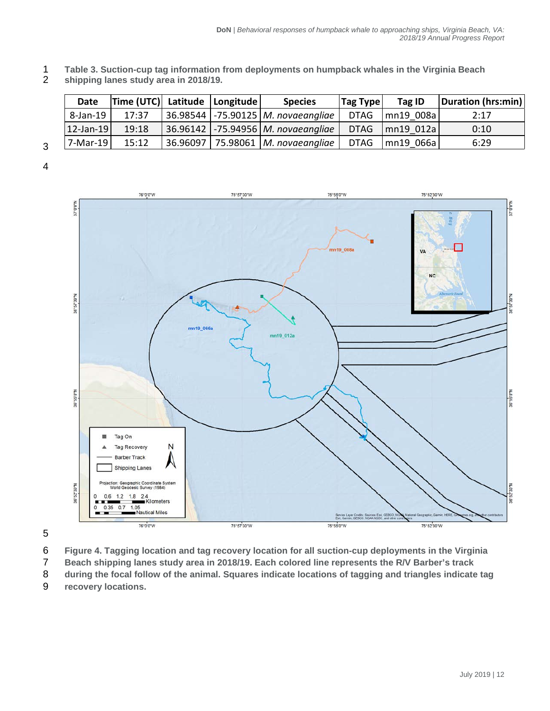<span id="page-13-0"></span>1 **Table 3. Suction-cup tag information from deployments on humpback whales in the Virginia Beach**  2 **shipping lanes study area in 2018/19.** 

| Date          | Time (UTC) Latitude   Longitude |          | <b>Species</b>                         | TagType     | Tag ID                  | Duration (hrs:min) |
|---------------|---------------------------------|----------|----------------------------------------|-------------|-------------------------|--------------------|
| $8$ -Jan-19   | 17:37                           |          | 36.98544   -75.90125   M. novaeangliae | <b>DTAG</b> | $\mid$ mn19 008a $\mid$ | 2:17               |
| $ 12$ -Jan-19 | 19:18                           |          | 36.96142   -75.94956   M. novaeangliae | <b>DTAG</b> | mn19 012a               | 0:10               |
| $7-Mar-19$    | 15:12                           | 36.96097 | 75.98061   M. novaeangliae             | <b>DTAG</b> | $\mid$ mn19 066a $\mid$ | 6:29               |

3

4



- 6 **Figure 4. Tagging location and tag recovery location for all suction-cup deployments in the Virginia**
- 7 **Beach shipping lanes study area in 2018/19. Each colored line represents the R/V Barber's track**
- 8 **during the focal follow of the animal. Squares indicate locations of tagging and triangles indicate tag**  9 **recovery locations.**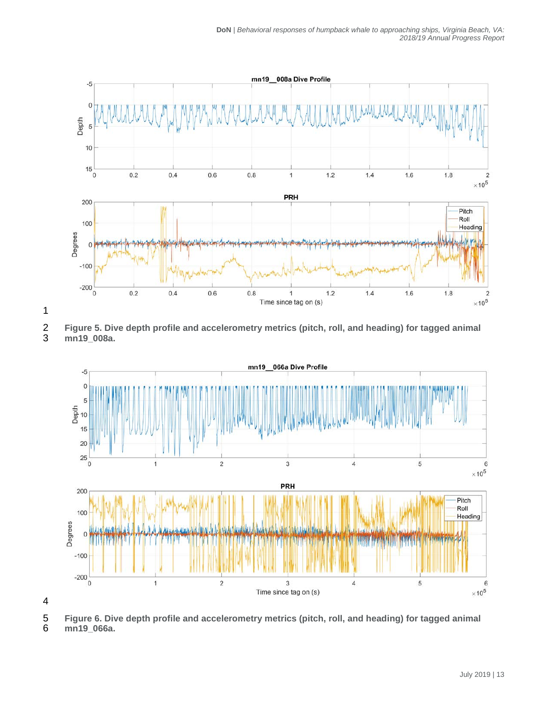

 **Figure 5. Dive depth profile and accelerometry metrics (pitch, roll, and heading) for tagged animal mn19\_008a.** 



## 

 **Figure 6. Dive depth profile and accelerometry metrics (pitch, roll, and heading) for tagged animal mn19\_066a.**

#### July 2019 | 13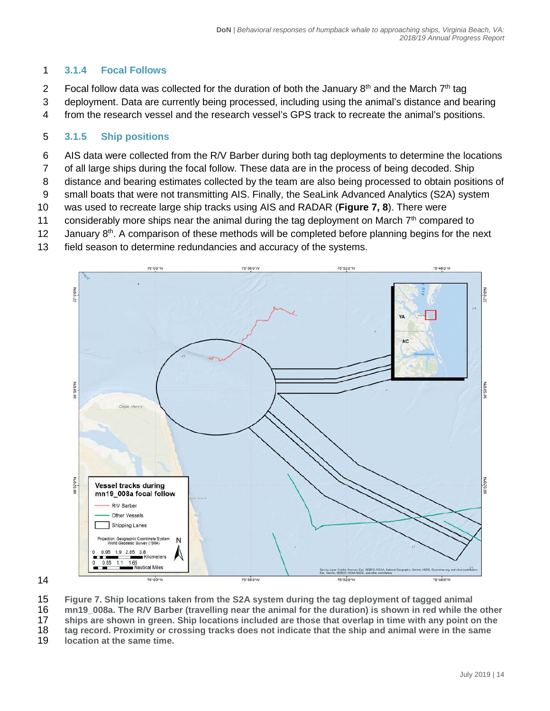## <span id="page-15-0"></span>**3.1.4 Focal Follows**

- 2 Focal follow data was collected for the duration of both the January  $8<sup>th</sup>$  and the March  $7<sup>th</sup>$  tag
- deployment. Data are currently being processed, including using the animal's distance and bearing
- from the research vessel and the research vessel's GPS track to recreate the animal's positions.

## <span id="page-15-1"></span>**3.1.5 Ship positions**

- AIS data were collected from the R/V Barber during both tag deployments to determine the locations
- of all large ships during the focal follow. These data are in the process of being decoded. Ship
- distance and bearing estimates collected by the team are also being processed to obtain positions of
- small boats that were not transmitting AIS. Finally, the SeaLink Advanced Analytics (S2A) system
- was used to recreate large ship tracks using AIS and RADAR (**Figure 7, 8**). There were
- 11 considerably more ships near the animal during the tag deployment on March  $7<sup>th</sup>$  compared to
- 12 . January  $8<sup>th</sup>$ . A comparison of these methods will be completed before planning begins for the next
- field season to determine redundancies and accuracy of the systems.



<span id="page-15-2"></span>**Figure 7. Ship locations taken from the S2A system during the tag deployment of tagged animal** 

- **mn19\_008a. The R/V Barber (travelling near the animal for the duration) is shown in red while the other**
- ships are shown in green. Ship locations included are those that overlap in time with any point on the
- **tag record. Proximity or crossing tracks does not indicate that the ship and animal were in the same location at the same time.**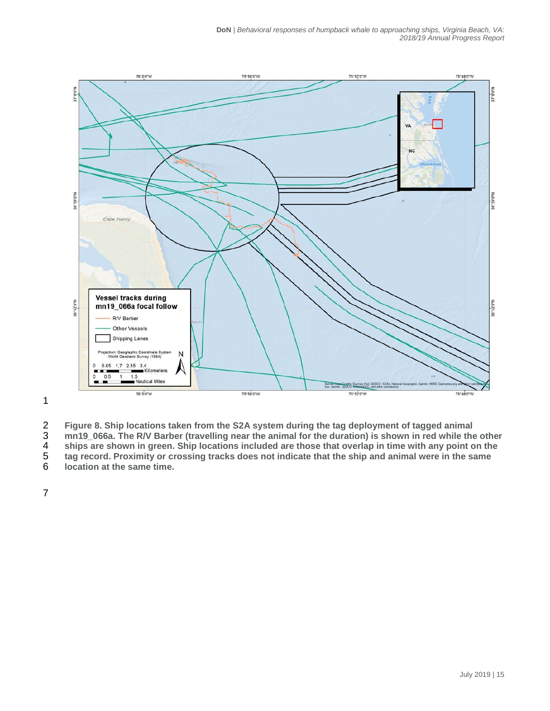

- <span id="page-16-0"></span>
- 2 **Figure 8. Ship locations taken from the S2A system during the tag deployment of tagged animal**  mn19\_066a. The R/V Barber (travelling near the animal for the duration) is shown in red while the other
- **11113 Solution** in the two Barber (diavoning from the animal of the outburn), is shown in the three mine are shown in green. Ship locations included are those that overlap in time with any point on the <br>
fag record. Pro 5 **tag record. Proximity or crossing tracks does not indicate that the ship and animal were in the same**
- 6 **location at the same time.**
- 7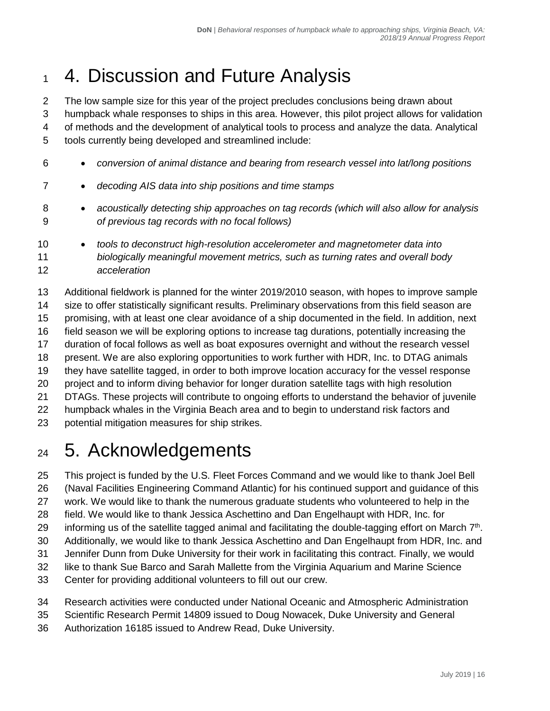## <span id="page-17-0"></span>4. Discussion and Future Analysis

 The low sample size for this year of the project precludes conclusions being drawn about humpback whale responses to ships in this area. However, this pilot project allows for validation of methods and the development of analytical tools to process and analyze the data. Analytical tools currently being developed and streamlined include:

- *conversion of animal distance and bearing from research vessel into lat/long positions*
- *decoding AIS data into ship positions and time stamps*
- *acoustically detecting ship approaches on tag records (which will also allow for analysis of previous tag records with no focal follows)*
- *tools to deconstruct high-resolution accelerometer and magnetometer data into biologically meaningful movement metrics, such as turning rates and overall body acceleration*

 Additional fieldwork is planned for the winter 2019/2010 season, with hopes to improve sample size to offer statistically significant results. Preliminary observations from this field season are promising, with at least one clear avoidance of a ship documented in the field. In addition, next field season we will be exploring options to increase tag durations, potentially increasing the duration of focal follows as well as boat exposures overnight and without the research vessel present. We are also exploring opportunities to work further with HDR, Inc. to DTAG animals they have satellite tagged, in order to both improve location accuracy for the vessel response project and to inform diving behavior for longer duration satellite tags with high resolution DTAGs. These projects will contribute to ongoing efforts to understand the behavior of juvenile humpback whales in the Virginia Beach area and to begin to understand risk factors and potential mitigation measures for ship strikes.

## <span id="page-17-1"></span>5. Acknowledgements

 This project is funded by the U.S. Fleet Forces Command and we would like to thank Joel Bell (Naval Facilities Engineering Command Atlantic) for his continued support and guidance of this work. We would like to thank the numerous graduate students who volunteered to help in the field. We would like to thank Jessica Aschettino and Dan Engelhaupt with HDR, Inc. for 29 informing us of the satellite tagged animal and facilitating the double-tagging effort on March  $7<sup>th</sup>$ . Additionally, we would like to thank Jessica Aschettino and Dan Engelhaupt from HDR, Inc. and Jennifer Dunn from Duke University for their work in facilitating this contract. Finally, we would like to thank Sue Barco and Sarah Mallette from the Virginia Aquarium and Marine Science Center for providing additional volunteers to fill out our crew.

- Research activities were conducted under National Oceanic and Atmospheric Administration
- Scientific Research Permit 14809 issued to Doug Nowacek, Duke University and General
- Authorization 16185 issued to Andrew Read, Duke University.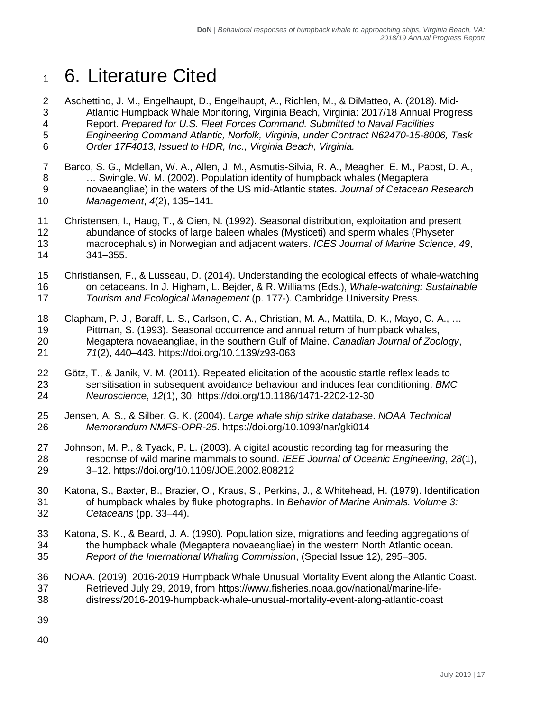## <span id="page-18-0"></span>6. Literature Cited

- Aschettino, J. M., Engelhaupt, D., Engelhaupt, A., Richlen, M., & DiMatteo, A. (2018). Mid- Atlantic Humpback Whale Monitoring, Virginia Beach, Virginia: 2017/18 Annual Progress Report. *Prepared for U.S. Fleet Forces Command. Submitted to Naval Facilities Engineering Command Atlantic, Norfolk, Virginia, under Contract N62470-15-8006, Task Order 17F4013, Issued to HDR, Inc., Virginia Beach, Virginia.*
- Barco, S. G., Mclellan, W. A., Allen, J. M., Asmutis-Silvia, R. A., Meagher, E. M., Pabst, D. A., … Swingle, W. M. (2002). Population identity of humpback whales (Megaptera novaeangliae) in the waters of the US mid-Atlantic states. *Journal of Cetacean Research Management*, *4*(2), 135–141.
- 11 Christensen, I., Haug, T., & Oien, N. (1992). Seasonal distribution, exploitation and present<br>12 **Interpret abundance of stocks of large baleen whales (Mysticeti) and sperm whales (Physeter** abundance of stocks of large baleen whales (Mysticeti) and sperm whales (Physeter macrocephalus) in Norwegian and adjacent waters. *ICES Journal of Marine Science*, *49*, 341–355.
- Christiansen, F., & Lusseau, D. (2014). Understanding the ecological effects of whale-watching on cetaceans. In J. Higham, L. Bejder, & R. Williams (Eds.), *Whale-watching: Sustainable Tourism and Ecological Management* (p. 177-). Cambridge University Press.
- Clapham, P. J., Baraff, L. S., Carlson, C. A., Christian, M. A., Mattila, D. K., Mayo, C. A., … Pittman, S. (1993). Seasonal occurrence and annual return of humpback whales, Megaptera novaeangliae, in the southern Gulf of Maine. *Canadian Journal of Zoology*, *71*(2), 440–443. https://doi.org/10.1139/z93-063
- Götz, T., & Janik, V. M. (2011). Repeated elicitation of the acoustic startle reflex leads to sensitisation in subsequent avoidance behaviour and induces fear conditioning. *BMC Neuroscience*, *12*(1), 30. https://doi.org/10.1186/1471-2202-12-30
- Jensen, A. S., & Silber, G. K. (2004). *Large whale ship strike database*. *NOAA Technical Memorandum NMFS-OPR-25*. https://doi.org/10.1093/nar/gki014
- Johnson, M. P., & Tyack, P. L. (2003). A digital acoustic recording tag for measuring the response of wild marine mammals to sound. *IEEE Journal of Oceanic Engineering*, *28*(1), 3–12. https://doi.org/10.1109/JOE.2002.808212
- Katona, S., Baxter, B., Brazier, O., Kraus, S., Perkins, J., & Whitehead, H. (1979). Identification of humpback whales by fluke photographs. In *Behavior of Marine Animals. Volume 3: Cetaceans* (pp. 33–44).
- Katona, S. K., & Beard, J. A. (1990). Population size, migrations and feeding aggregations of the humpback whale (Megaptera novaeangliae) in the western North Atlantic ocean. *Report of the International Whaling Commission*, (Special Issue 12), 295–305.
- NOAA. (2019). 2016-2019 Humpback Whale Unusual Mortality Event along the Atlantic Coast. Retrieved July 29, 2019, from https://www.fisheries.noaa.gov/national/marine-life-distress/2016-2019-humpback-whale-unusual-mortality-event-along-atlantic-coast
- 
-